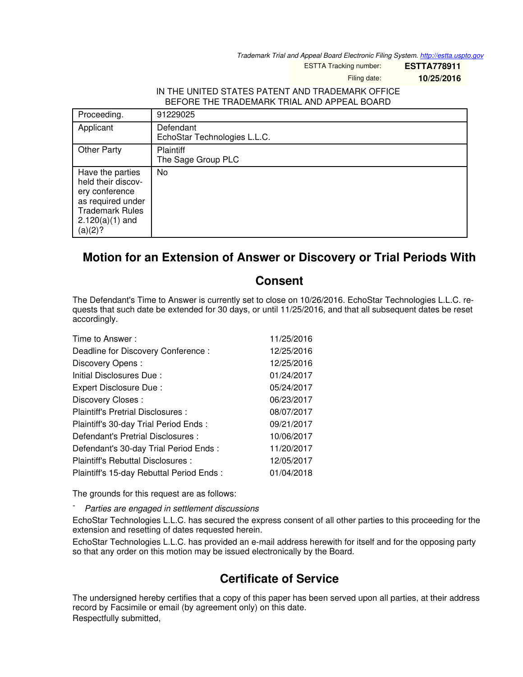*Trademark Trial and Appeal Board Electronic Filing System. <http://estta.uspto.gov>*

ESTTA Tracking number: **ESTTA778911**

Filing date: **10/25/2016**

## IN THE UNITED STATES PATENT AND TRADEMARK OFFICE BEFORE THE TRADEMARK TRIAL AND APPEAL BOARD

| Proceeding.                                                                                                                             | 91229025                                  |
|-----------------------------------------------------------------------------------------------------------------------------------------|-------------------------------------------|
| Applicant                                                                                                                               | Defendant<br>EchoStar Technologies L.L.C. |
| <b>Other Party</b>                                                                                                                      | Plaintiff<br>The Sage Group PLC           |
| Have the parties<br>held their discov-<br>ery conference<br>as required under<br><b>Trademark Rules</b><br>$2.120(a)(1)$ and<br>(a)(2)? | No                                        |

## **Motion for an Extension of Answer or Discovery or Trial Periods With**

## **Consent**

The Defendant's Time to Answer is currently set to close on 10/26/2016. EchoStar Technologies L.L.C. requests that such date be extended for 30 days, or until 11/25/2016, and that all subsequent dates be reset accordingly.

| Time to Answer:                          | 11/25/2016 |
|------------------------------------------|------------|
| Deadline for Discovery Conference:       | 12/25/2016 |
| Discovery Opens:                         | 12/25/2016 |
| Initial Disclosures Due:                 | 01/24/2017 |
| Expert Disclosure Due:                   | 05/24/2017 |
| Discovery Closes:                        | 06/23/2017 |
| Plaintiff's Pretrial Disclosures :       | 08/07/2017 |
| Plaintiff's 30-day Trial Period Ends:    | 09/21/2017 |
| Defendant's Pretrial Disclosures :       | 10/06/2017 |
| Defendant's 30-day Trial Period Ends :   | 11/20/2017 |
| Plaintiff's Rebuttal Disclosures:        | 12/05/2017 |
| Plaintiff's 15-day Rebuttal Period Ends: | 01/04/2018 |

The grounds for this request are as follows:

- *Parties are engaged in settlement discussions*

EchoStar Technologies L.L.C. has secured the express consent of all other parties to this proceeding for the extension and resetting of dates requested herein.

EchoStar Technologies L.L.C. has provided an e-mail address herewith for itself and for the opposing party so that any order on this motion may be issued electronically by the Board.

## **Certificate of Service**

The undersigned hereby certifies that a copy of this paper has been served upon all parties, at their address record by Facsimile or email (by agreement only) on this date. Respectfully submitted,